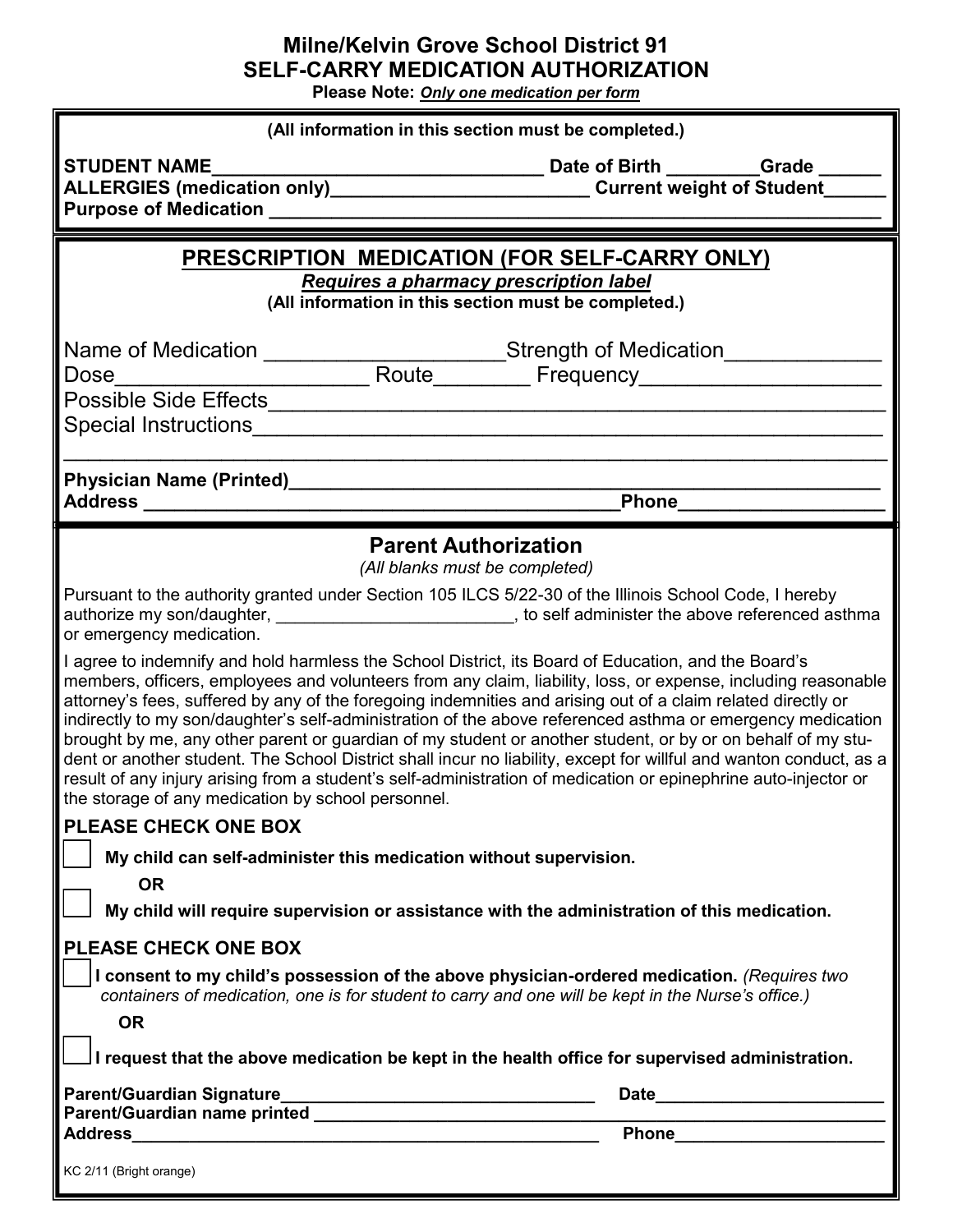## **Milne/Kelvin Grove School District 91 SELF-CARRY MEDICATION AUTHORIZATION**

**Please Note:** *Only one medication per form*

| (All information in this section must be completed.)                                                                                                                                                                                                                                                                                                                                                                                                                                                                                                                                                                                                                                                                                                                                                                                                             |                                                                                                                                                                                                                                    |
|------------------------------------------------------------------------------------------------------------------------------------------------------------------------------------------------------------------------------------------------------------------------------------------------------------------------------------------------------------------------------------------------------------------------------------------------------------------------------------------------------------------------------------------------------------------------------------------------------------------------------------------------------------------------------------------------------------------------------------------------------------------------------------------------------------------------------------------------------------------|------------------------------------------------------------------------------------------------------------------------------------------------------------------------------------------------------------------------------------|
| <b>STUDENT NAME</b><br>ALLERGIES (medication only)______________________________Current weight of Student_<br><b>Purpose of Medication and Service Services</b>                                                                                                                                                                                                                                                                                                                                                                                                                                                                                                                                                                                                                                                                                                  |                                                                                                                                                                                                                                    |
| <b>PRESCRIPTION MEDICATION (FOR SELF-CARRY ONLY)</b>                                                                                                                                                                                                                                                                                                                                                                                                                                                                                                                                                                                                                                                                                                                                                                                                             |                                                                                                                                                                                                                                    |
| Requires a pharmacy prescription label<br>(All information in this section must be completed.)                                                                                                                                                                                                                                                                                                                                                                                                                                                                                                                                                                                                                                                                                                                                                                   |                                                                                                                                                                                                                                    |
|                                                                                                                                                                                                                                                                                                                                                                                                                                                                                                                                                                                                                                                                                                                                                                                                                                                                  |                                                                                                                                                                                                                                    |
|                                                                                                                                                                                                                                                                                                                                                                                                                                                                                                                                                                                                                                                                                                                                                                                                                                                                  | Phone________                                                                                                                                                                                                                      |
| <b>Parent Authorization</b><br>(All blanks must be completed)                                                                                                                                                                                                                                                                                                                                                                                                                                                                                                                                                                                                                                                                                                                                                                                                    |                                                                                                                                                                                                                                    |
| Pursuant to the authority granted under Section 105 ILCS 5/22-30 of the Illinois School Code, I hereby<br>or emergency medication.                                                                                                                                                                                                                                                                                                                                                                                                                                                                                                                                                                                                                                                                                                                               | authorize my son/daughter, _____________________________, to self administer the above referenced asthma                                                                                                                           |
| I agree to indemnify and hold harmless the School District, its Board of Education, and the Board's<br>members, officers, employees and volunteers from any claim, liability, loss, or expense, including reasonable<br>attorney's fees, suffered by any of the foregoing indemnities and arising out of a claim related directly or<br>indirectly to my son/daughter's self-administration of the above referenced asthma or emergency medication<br>brought by me, any other parent or guardian of my student or another student, or by or on behalf of my stu-<br>dent or another student. The School District shall incur no liability, except for willful and wanton conduct, as a<br>result of any injury arising from a student's self-administration of medication or epinephrine auto-injector or<br>the storage of any medication by school personnel. |                                                                                                                                                                                                                                    |
| <b>PLEASE CHECK ONE BOX</b>                                                                                                                                                                                                                                                                                                                                                                                                                                                                                                                                                                                                                                                                                                                                                                                                                                      |                                                                                                                                                                                                                                    |
| My child can self-administer this medication without supervision.                                                                                                                                                                                                                                                                                                                                                                                                                                                                                                                                                                                                                                                                                                                                                                                                |                                                                                                                                                                                                                                    |
| <b>OR</b><br>My child will require supervision or assistance with the administration of this medication.                                                                                                                                                                                                                                                                                                                                                                                                                                                                                                                                                                                                                                                                                                                                                         |                                                                                                                                                                                                                                    |
|                                                                                                                                                                                                                                                                                                                                                                                                                                                                                                                                                                                                                                                                                                                                                                                                                                                                  |                                                                                                                                                                                                                                    |
| <b>PLEASE CHECK ONE BOX</b><br>I consent to my child's possession of the above physician-ordered medication. (Requires two<br>containers of medication, one is for student to carry and one will be kept in the Nurse's office.)<br><b>OR</b>                                                                                                                                                                                                                                                                                                                                                                                                                                                                                                                                                                                                                    |                                                                                                                                                                                                                                    |
| I request that the above medication be kept in the health office for supervised administration.                                                                                                                                                                                                                                                                                                                                                                                                                                                                                                                                                                                                                                                                                                                                                                  |                                                                                                                                                                                                                                    |
| Parent/Guardian name printed<br><b>Address</b><br><u> 1989 - Johann Marie Barn, margaret amerikan basal (</u>                                                                                                                                                                                                                                                                                                                                                                                                                                                                                                                                                                                                                                                                                                                                                    | <b>Phone Contract Contract Contract Contract Contract Contract Contract Contract Contract Contract Contract Contract Contract Contract Contract Contract Contract Contract Contract Contract Contract Contract Contract Contra</b> |
| KC 2/11 (Bright orange)                                                                                                                                                                                                                                                                                                                                                                                                                                                                                                                                                                                                                                                                                                                                                                                                                                          |                                                                                                                                                                                                                                    |